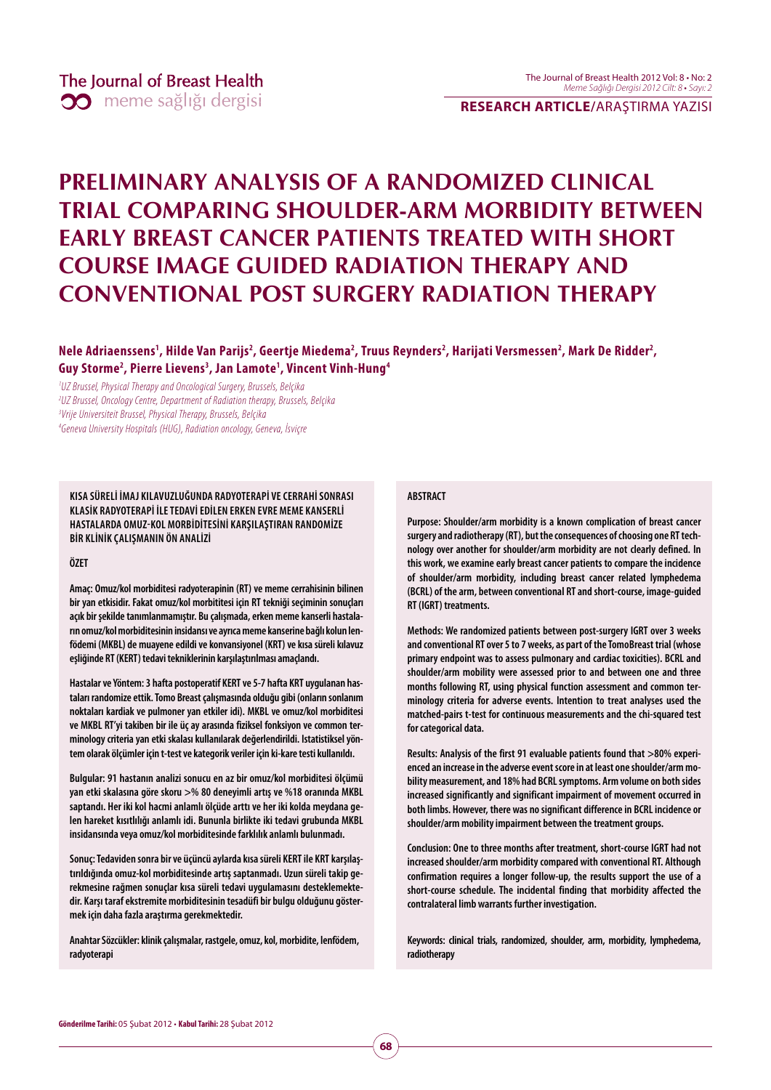**RESEARCH ARTICLE/**ARAŞTIRMA YAZISI

# **PRELIMINARY ANALYSIS OF A RANDOMIZED CLINICAL TRIAL COMPARING SHOULDER-ARM MORBIDITY BETWEEN EARLY BREAST CANCER PATIENTS TREATED WITH SHORT COURSE IMAGE GUIDED RADIATION THERAPY AND CONVENTIONAL POST SURGERY RADIATION THERAPY**

Nele Adriaenssens<sup>1</sup>, Hilde Van Parijs<sup>2</sup>, Geertje Miedema<sup>2</sup>, Truus Reynders<sup>2</sup>, Harijati Versmessen<sup>2</sup>, Mark De Ridder<sup>2</sup>, **Guy Storme2 , Pierre Lievens3 , Jan Lamote1 , Vincent Vinh-Hung4**

<sup>1</sup>UZ Brussel, Physical Therapy and Oncological Surgery, Brussels, Belçika UZ Brussel, Oncology Centre, Department of Radiation therapy, Brussels, Belçika Vrije Universiteit Brussel, Physical Therapy, Brussels, Belçika Geneva University Hospitals (HUG), Radiation oncology, Geneva, İsviçre

**KISA SÜRELİ İMAJ KILAVUZLUĞUNDA RADYOTERAPİ VE CERRAHİ SONRASI KLASİK RADYOTERAPİ İLE TEDAVİ EDİLEN ERKEN EVRE MEME KANSERLİ HASTALARDA OMUZKOL MORBİDİTESİNİ KARŞILAŞTIRAN RANDOMİZE BİR KLİNİK ÇALIŞMANIN ÖN ANALİZİ**

**ÖZET**

**Amaç: Omuz/kol morbiditesi radyoterapinin (RT) ve meme cerrahisinin bilinen bir yan etkisidir. Fakat omuz/kol morbititesi için RT tekniği seçiminin sonuçları açık bir şekilde tanımlanmamıştır. Bu çalışmada, erken meme kanserli hastaların omuz/kol morbiditesinin insidansı ve ayrıca meme kanserine bağlı kolun lenfödemi (MKBL) de muayene edildi ve konvansiyonel (KRT) ve kısa süreli kılavuz eşliğinde RT (KERT) tedavi tekniklerinin karşılaştırılması amaçlandı.** 

**Hastalar ve Yöntem: 3 hafta postoperatif KERT ve 5-7 hafta KRT uygulanan hastaları randomize ettik. Tomo Breast çalışmasında olduğu gibi (onların sonlanım noktaları kardiak ve pulmoner yan etkiler idi). MKBL ve omuz/kol morbiditesi ve MKBL RT'yi takiben bir ile üç ay arasında fiziksel fonksiyon ve common terminology criteria yan etki skalası kullanılarak değerlendirildi. Istatistiksel yöntem olarak ölçümler için t-test ve kategorik veriler için ki-kare testi kullanıldı.** 

**Bulgular: 91 hastanın analizi sonucu en az bir omuz/kol morbiditesi ölçümü yan etki skalasına göre skoru >% 80 deneyimli artış ve %18 oranında MKBL saptandı. Her iki kol hacmi anlamlı ölçüde arttı ve her iki kolda meydana gelen hareket kısıtlılığı anlamlı idi. Bununla birlikte iki tedavi grubunda MKBL insidansında veya omuz/kol morbiditesinde farklılık anlamlı bulunmadı.** 

**Sonuç: Tedaviden sonra bir ve üçüncü aylarda kısa süreli KERT ile KRT karşılaştırıldığında omuz-kol morbiditesinde artış saptanmadı. Uzun süreli takip gerekmesine rağmen sonuçlar kısa süreli tedavi uygulamasını desteklemektedir. Karşı taraf ekstremite morbiditesinin tesadüfi bir bulgu olduğunu göstermek için daha fazla araştırma gerekmektedir.** 

**Anahtar Sözcükler: klinik çalışmalar, rastgele, omuz, kol, morbidite, lenfödem, radyoterapi**

#### **ABSTRACT**

**Purpose: Shoulder/arm morbidity is a known complication of breast cancer surgery and radiotherapy (RT), but the consequences of choosing one RT technology over another for shoulder/arm morbidity are not clearly defined. In this work, we examine early breast cancer patients to compare the incidence of shoulder/arm morbidity, including breast cancer related lymphedema (BCRL) of the arm, between conventional RT and short-course, image-guided RT (IGRT) treatments.**

**Methods: We randomized patients between post-surgery IGRT over 3 weeks and conventional RT over 5 to 7 weeks, as part of the TomoBreast trial (whose primary endpoint was to assess pulmonary and cardiac toxicities). BCRL and shoulder/arm mobility were assessed prior to and between one and three months following RT, using physical function assessment and common terminology criteria for adverse events. Intention to treat analyses used the matched-pairs t-test for continuous measurements and the chi-squared test for categorical data.**

**Results: Analysis of the first 91 evaluable patients found that >80% experienced an increase in the adverse event score in at least one shoulder/arm mobility measurement, and 18% had BCRL symptoms. Arm volume on both sides increased significantly and significant impairment of movement occurred in both limbs. However, there was no significant difference in BCRL incidence or shoulder/arm mobility impairment between the treatment groups.**

**Conclusion: One to three months after treatment, short-course IGRT had not increased shoulder/arm morbidity compared with conventional RT. Although confirmation requires a longer follow-up, the results support the use of a short-course schedule. The incidental finding that morbidity affected the contralateral limb warrants further investigation.**

**Keywords: clinical trials, randomized, shoulder, arm, morbidity, lymphedema, radiotherapy**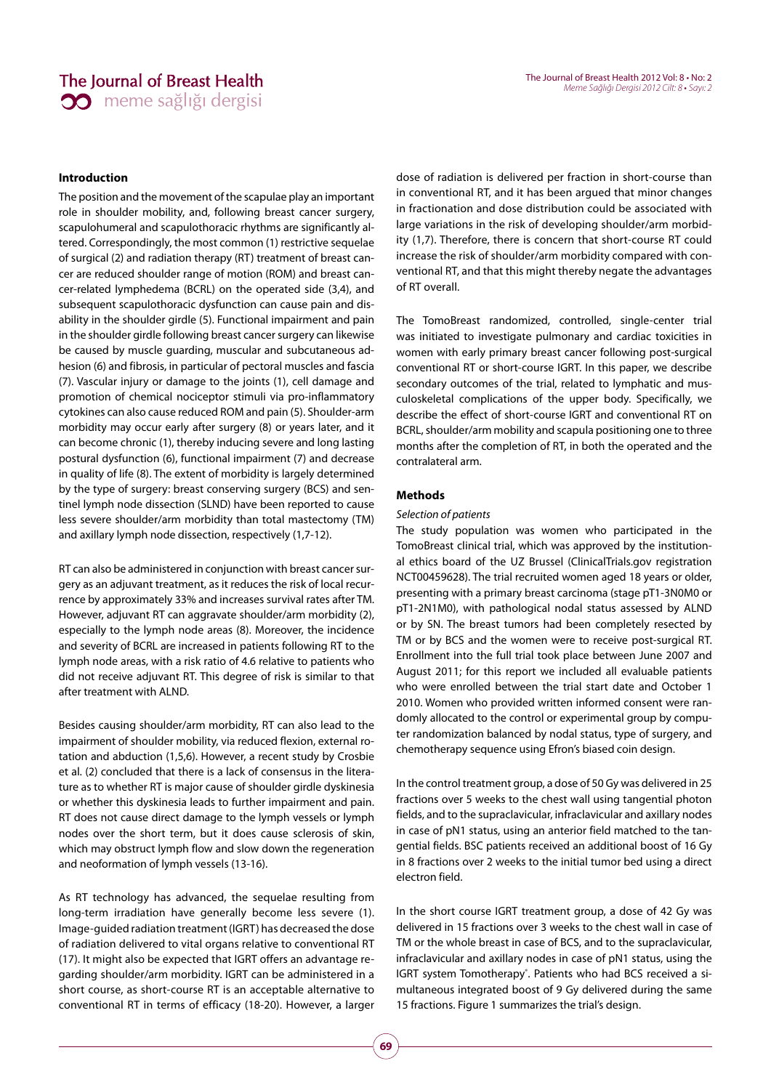# The Journal of Breast Health **30** meme sağlığı dergisi

#### **Introduction**

The position and the movement of the scapulae play an important role in shoulder mobility, and, following breast cancer surgery, scapulohumeral and scapulothoracic rhythms are significantly altered. Correspondingly, the most common (1) restrictive sequelae of surgical (2) and radiation therapy (RT) treatment of breast cancer are reduced shoulder range of motion (ROM) and breast cancer-related lymphedema (BCRL) on the operated side (3,4), and subsequent scapulothoracic dysfunction can cause pain and disability in the shoulder girdle (5). Functional impairment and pain in the shoulder girdle following breast cancer surgery can likewise be caused by muscle guarding, muscular and subcutaneous adhesion (6) and fibrosis, in particular of pectoral muscles and fascia (7). Vascular injury or damage to the joints (1), cell damage and promotion of chemical nociceptor stimuli via pro-inflammatory cytokines can also cause reduced ROM and pain (5). Shoulder-arm morbidity may occur early after surgery (8) or years later, and it can become chronic (1), thereby inducing severe and long lasting postural dysfunction (6), functional impairment (7) and decrease in quality of life (8). The extent of morbidity is largely determined by the type of surgery: breast conserving surgery (BCS) and sentinel lymph node dissection (SLND) have been reported to cause less severe shoulder/arm morbidity than total mastectomy (TM) and axillary lymph node dissection, respectively (1,7-12).

RT can also be administered in conjunction with breast cancer surgery as an adjuvant treatment, as it reduces the risk of local recurrence by approximately 33% and increases survival rates after TM. However, adjuvant RT can aggravate shoulder/arm morbidity (2), especially to the lymph node areas (8). Moreover, the incidence and severity of BCRL are increased in patients following RT to the lymph node areas, with a risk ratio of 4.6 relative to patients who did not receive adjuvant RT. This degree of risk is similar to that after treatment with ALND.

Besides causing shoulder/arm morbidity, RT can also lead to the impairment of shoulder mobility, via reduced flexion, external rotation and abduction (1,5,6). However, a recent study by Crosbie et al. (2) concluded that there is a lack of consensus in the literature as to whether RT is major cause of shoulder girdle dyskinesia or whether this dyskinesia leads to further impairment and pain. RT does not cause direct damage to the lymph vessels or lymph nodes over the short term, but it does cause sclerosis of skin, which may obstruct lymph flow and slow down the regeneration and neoformation of lymph vessels (13-16).

As RT technology has advanced, the sequelae resulting from long-term irradiation have generally become less severe (1). Image-guided radiation treatment (IGRT) has decreased the dose of radiation delivered to vital organs relative to conventional RT (17). It might also be expected that IGRT offers an advantage regarding shoulder/arm morbidity. IGRT can be administered in a short course, as short-course RT is an acceptable alternative to conventional RT in terms of efficacy (18-20). However, a larger dose of radiation is delivered per fraction in short-course than in conventional RT, and it has been argued that minor changes in fractionation and dose distribution could be associated with large variations in the risk of developing shoulder/arm morbidity (1,7). Therefore, there is concern that short-course RT could increase the risk of shoulder/arm morbidity compared with conventional RT, and that this might thereby negate the advantages of RT overall.

The TomoBreast randomized, controlled, single-center trial was initiated to investigate pulmonary and cardiac toxicities in women with early primary breast cancer following post-surgical conventional RT or short-course IGRT. In this paper, we describe secondary outcomes of the trial, related to lymphatic and musculoskeletal complications of the upper body. Specifically, we describe the effect of short-course IGRT and conventional RT on BCRL, shoulder/arm mobility and scapula positioning one to three months after the completion of RT, in both the operated and the contralateral arm.

#### **Methods**

#### Selection of patients

The study population was women who participated in the TomoBreast clinical trial, which was approved by the institutional ethics board of the UZ Brussel (ClinicalTrials.gov registration NCT00459628). The trial recruited women aged 18 years or older, presenting with a primary breast carcinoma (stage pT1-3N0M0 or pT1-2N1M0), with pathological nodal status assessed by ALND or by SN. The breast tumors had been completely resected by TM or by BCS and the women were to receive post-surgical RT. Enrollment into the full trial took place between June 2007 and August 2011; for this report we included all evaluable patients who were enrolled between the trial start date and October 1 2010. Women who provided written informed consent were randomly allocated to the control or experimental group by computer randomization balanced by nodal status, type of surgery, and chemotherapy sequence using Efron's biased coin design.

In the control treatment group, a dose of 50 Gy was delivered in 25 fractions over 5 weeks to the chest wall using tangential photon fields, and to the supraclavicular, infraclavicular and axillary nodes in case of pN1 status, using an anterior field matched to the tangential fields. BSC patients received an additional boost of 16 Gy in 8 fractions over 2 weeks to the initial tumor bed using a direct electron field.

In the short course IGRT treatment group, a dose of 42 Gy was delivered in 15 fractions over 3 weeks to the chest wall in case of TM or the whole breast in case of BCS, and to the supraclavicular, infraclavicular and axillary nodes in case of pN1 status, using the IGRT system Tomotherapy®. Patients who had BCS received a simultaneous integrated boost of 9 Gy delivered during the same 15 fractions. Figure 1 summarizes the trial's design.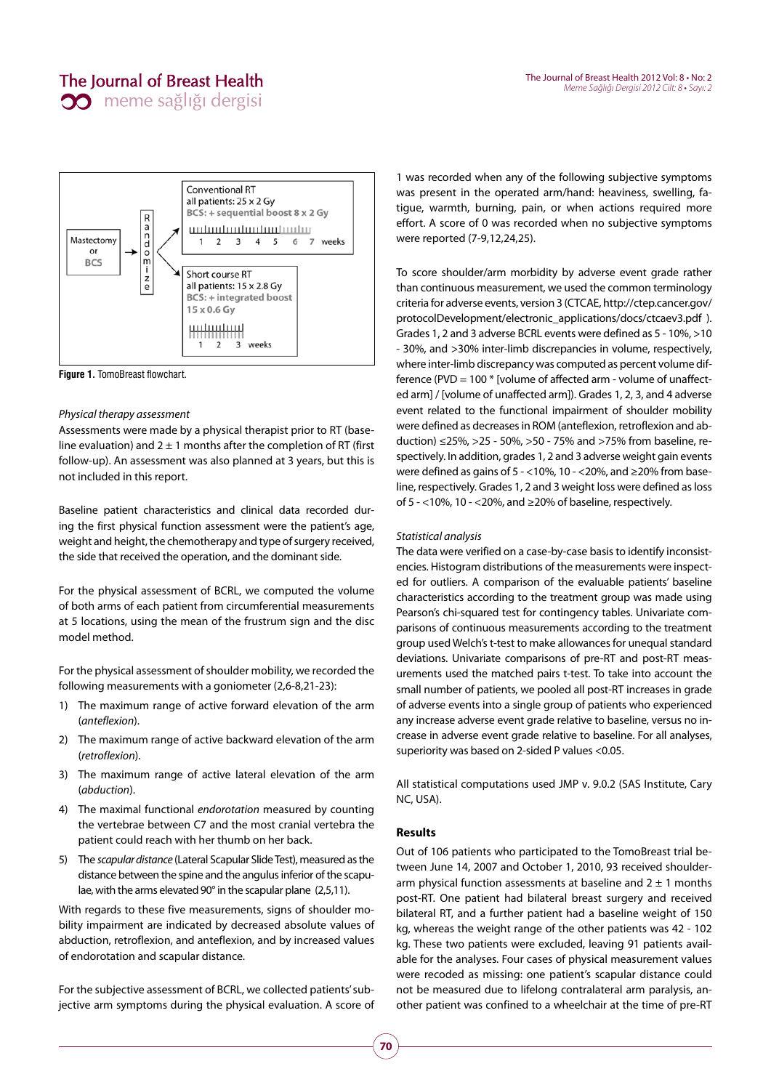

**Figure 1.** TomoBreast flowchart.

#### Physical therapy assessment

Assessments were made by a physical therapist prior to RT (baseline evaluation) and  $2 \pm 1$  months after the completion of RT (first follow-up). An assessment was also planned at 3 years, but this is not included in this report.

Baseline patient characteristics and clinical data recorded during the first physical function assessment were the patient's age, weight and height, the chemotherapy and type of surgery received, the side that received the operation, and the dominant side.

For the physical assessment of BCRL, we computed the volume of both arms of each patient from circumferential measurements at 5 locations, using the mean of the frustrum sign and the disc model method.

For the physical assessment of shoulder mobility, we recorded the following measurements with a goniometer (2,6-8,21-23):

- 1) The maximum range of active forward elevation of the arm (anteflexion).
- 2) The maximum range of active backward elevation of the arm (retroflexion).
- 3) The maximum range of active lateral elevation of the arm (abduction).
- 4) The maximal functional endorotation measured by counting the vertebrae between C7 and the most cranial vertebra the patient could reach with her thumb on her back.
- 5) The scapular distance (Lateral Scapular Slide Test), measured as the distance between the spine and the angulus inferior of the scapulae, with the arms elevated 90° in the scapular plane (2,5,11).

With regards to these five measurements, signs of shoulder mobility impairment are indicated by decreased absolute values of abduction, retroflexion, and anteflexion, and by increased values of endorotation and scapular distance.

For the subjective assessment of BCRL, we collected patients' subjective arm symptoms during the physical evaluation. A score of

1 was recorded when any of the following subjective symptoms was present in the operated arm/hand: heaviness, swelling, fatigue, warmth, burning, pain, or when actions required more effort. A score of 0 was recorded when no subjective symptoms were reported (7-9,12,24,25).

To score shoulder/arm morbidity by adverse event grade rather than continuous measurement, we used the common terminology criteria for adverse events, version 3 (CTCAE, http://ctep.cancer.gov/ protocolDevelopment/electronic\_applications/docs/ctcaev3.pdf ). Grades 1, 2 and 3 adverse BCRL events were defined as 5 - 10%, >10 - 30%, and >30% inter-limb discrepancies in volume, respectively, where inter-limb discrepancy was computed as percent volume difference (PVD = 100 \* [volume of affected arm - volume of unaffected arm] / [volume of unaffected arm]). Grades 1, 2, 3, and 4 adverse event related to the functional impairment of shoulder mobility were defined as decreases in ROM (anteflexion, retroflexion and abduction) ≤25%, >25 - 50%, >50 - 75% and >75% from baseline, respectively. In addition, grades 1, 2 and 3 adverse weight gain events were defined as gains of 5 - <10%, 10 - <20%, and ≥20% from baseline, respectively. Grades 1, 2 and 3 weight loss were defined as loss of 5 - <10%, 10 - <20%, and ≥20% of baseline, respectively.

#### Statistical analysis

The data were verified on a case-by-case basis to identify inconsistencies. Histogram distributions of the measurements were inspected for outliers. A comparison of the evaluable patients' baseline characteristics according to the treatment group was made using Pearson's chi-squared test for contingency tables. Univariate comparisons of continuous measurements according to the treatment group used Welch's t-test to make allowances for unequal standard deviations. Univariate comparisons of pre-RT and post-RT measurements used the matched pairs t-test. To take into account the small number of patients, we pooled all post-RT increases in grade of adverse events into a single group of patients who experienced any increase adverse event grade relative to baseline, versus no increase in adverse event grade relative to baseline. For all analyses, superiority was based on 2-sided P values <0.05.

All statistical computations used JMP v. 9.0.2 (SAS Institute, Cary NC, USA).

#### **Results**

Out of 106 patients who participated to the TomoBreast trial between June 14, 2007 and October 1, 2010, 93 received shoulderarm physical function assessments at baseline and  $2 \pm 1$  months post-RT. One patient had bilateral breast surgery and received bilateral RT, and a further patient had a baseline weight of 150 kg, whereas the weight range of the other patients was 42 - 102 kg. These two patients were excluded, leaving 91 patients available for the analyses. Four cases of physical measurement values were recoded as missing: one patient's scapular distance could not be measured due to lifelong contralateral arm paralysis, another patient was confined to a wheelchair at the time of pre-RT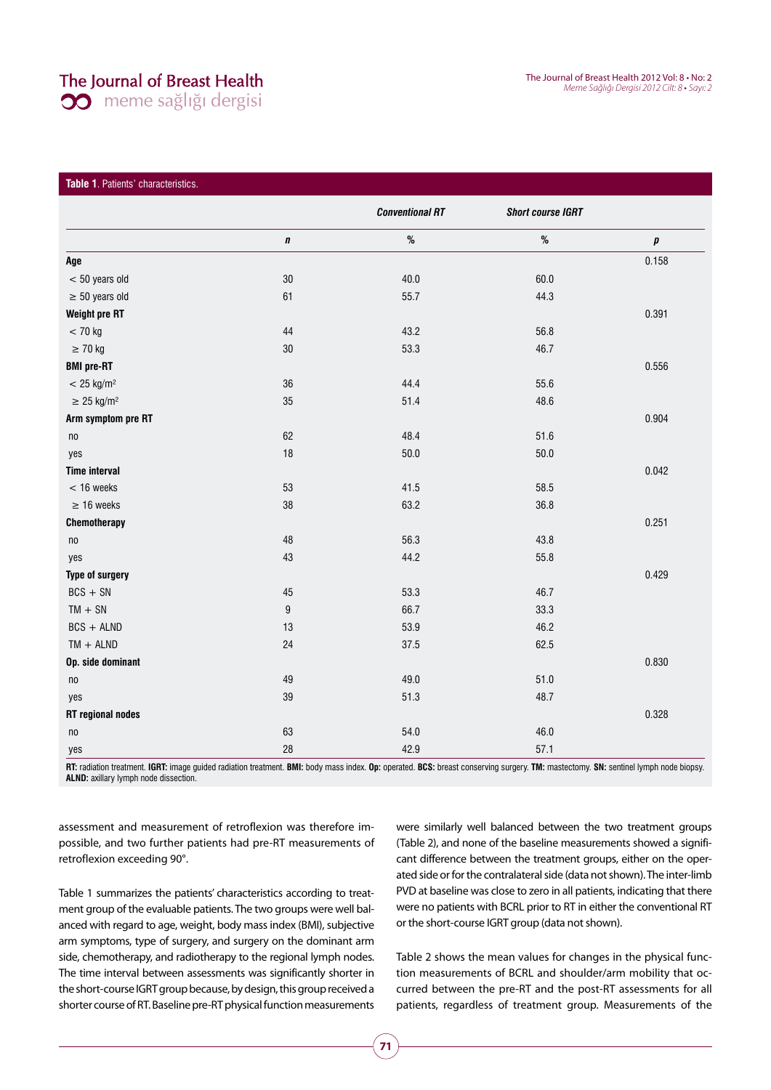# The Journal of Breast Health

**30** meme sağlığı dergisi

### **Table 1**. Patients' characteristics.

|                             |           | <b>Conventional RT</b> | <b>Short course IGRT</b> |       |
|-----------------------------|-----------|------------------------|--------------------------|-------|
|                             | $\pmb{n}$ | $\%$                   | $\%$                     | p     |
| Age                         |           |                        |                          | 0.158 |
| $< 50$ years old            | $30\,$    | 40.0                   | 60.0                     |       |
| $\geq 50$ years old         | 61        | 55.7                   | 44.3                     |       |
| Weight pre RT               |           |                        |                          | 0.391 |
| $< 70$ kg                   | 44        | 43.2                   | 56.8                     |       |
| $\geq$ 70 kg                | $30\,$    | 53.3                   | 46.7                     |       |
| <b>BMI</b> pre-RT           |           |                        |                          | 0.556 |
| $< 25$ kg/m <sup>2</sup>    | 36        | 44.4                   | 55.6                     |       |
| $\geq$ 25 kg/m <sup>2</sup> | 35        | 51.4                   | 48.6                     |       |
| Arm symptom pre RT          |           |                        |                          | 0.904 |
| n <sub>0</sub>              | 62        | 48.4                   | 51.6                     |       |
| yes                         | 18        | $50.0$                 | 50.0                     |       |
| <b>Time interval</b>        |           |                        |                          | 0.042 |
| $<$ 16 weeks                | 53        | 41.5                   | 58.5                     |       |
| $\geq 16$ weeks             | 38        | 63.2                   | 36.8                     |       |
| Chemotherapy                |           |                        |                          | 0.251 |
| n <sub>0</sub>              | 48        | 56.3                   | 43.8                     |       |
| yes                         | 43        | 44.2                   | 55.8                     |       |
| Type of surgery             |           |                        |                          | 0.429 |
| $BCS + SN$                  | 45        | 53.3                   | 46.7                     |       |
| $TM + SN$                   | 9         | 66.7                   | 33.3                     |       |
| $BCS + ALND$                | 13        | 53.9                   | 46.2                     |       |
| $TM + ALND$                 | 24        | 37.5                   | 62.5                     |       |
| Op. side dominant           |           |                        |                          | 0.830 |
| n <sub>0</sub>              | 49        | 49.0                   | 51.0                     |       |
| yes                         | 39        | 51.3                   | 48.7                     |       |
| <b>RT</b> regional nodes    |           |                        |                          | 0.328 |
| n <sub>0</sub>              | 63        | 54.0                   | 46.0                     |       |
| yes                         | 28        | 42.9                   | 57.1                     |       |

RT: radiation treatment. IGRT: image guided radiation treatment. BMI: body mass index. Op: operated. BCS: breast conserving surgery. TM: mastectomy. SN: sentinel lymph node biopsy. **ALND:** axillary lymph node dissection.

assessment and measurement of retroflexion was therefore impossible, and two further patients had pre-RT measurements of retroflexion exceeding 90°.

Table 1 summarizes the patients' characteristics according to treatment group of the evaluable patients. The two groups were well balanced with regard to age, weight, body mass index (BMI), subjective arm symptoms, type of surgery, and surgery on the dominant arm side, chemotherapy, and radiotherapy to the regional lymph nodes. The time interval between assessments was significantly shorter in the short-course IGRT group because, by design, this group received a shorter course of RT. Baseline pre-RT physical function measurements were similarly well balanced between the two treatment groups (Table 2), and none of the baseline measurements showed a significant difference between the treatment groups, either on the operated side or for the contralateral side (data not shown). The inter-limb PVD at baseline was close to zero in all patients, indicating that there were no patients with BCRL prior to RT in either the conventional RT or the short-course IGRT group (data not shown).

Table 2 shows the mean values for changes in the physical function measurements of BCRL and shoulder/arm mobility that occurred between the pre-RT and the post-RT assessments for all patients, regardless of treatment group. Measurements of the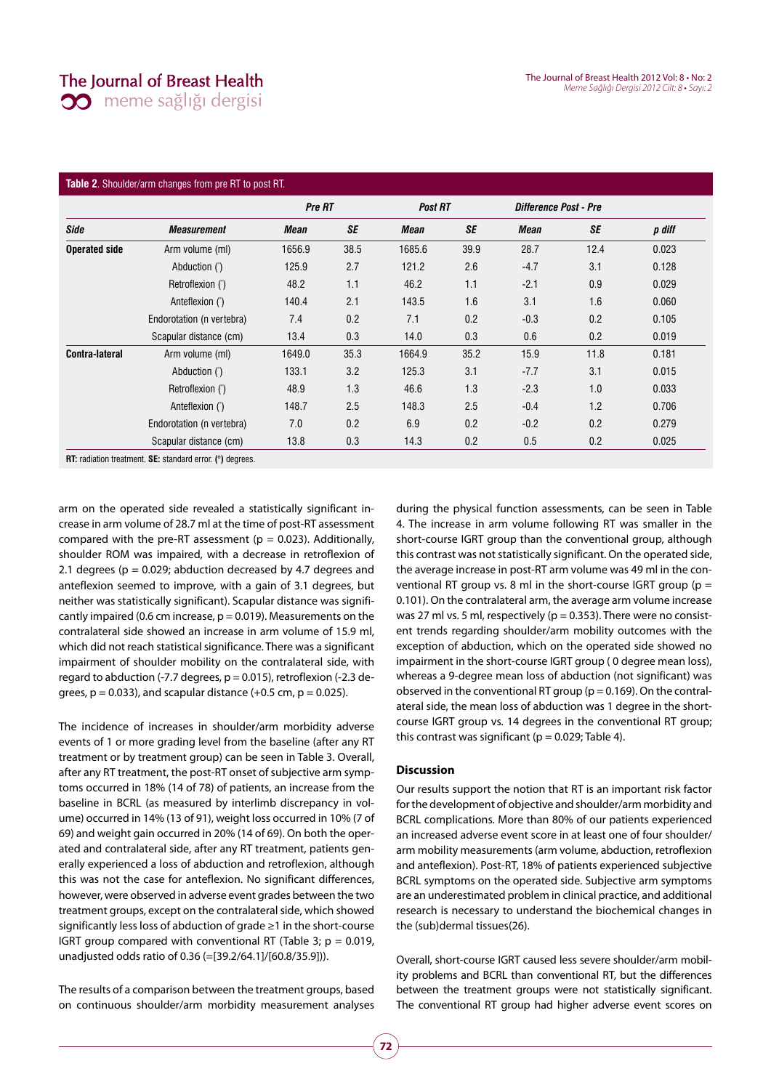### The Journal of Breast Health

**00** meme sağlığı dergisi

#### **Table 2**. Shoulder/arm changes from pre RT to post RT.

|                      |                           | Pre RT |      | <b>Post RT</b> |           | Difference Post - Pre |      |        |
|----------------------|---------------------------|--------|------|----------------|-----------|-----------------------|------|--------|
| <b>Side</b>          | <b>Measurement</b>        | Mean   | SE   | Mean           | <b>SE</b> | Mean                  | SE   | p diff |
| <b>Operated side</b> | Arm volume (ml)           | 1656.9 | 38.5 | 1685.6         | 39.9      | 28.7                  | 12.4 | 0.023  |
|                      | Abduction (°)             | 125.9  | 2.7  | 121.2          | 2.6       | $-4.7$                | 3.1  | 0.128  |
|                      | Retroflexion (°)          | 48.2   | 1.1  | 46.2           | 1.1       | $-2.1$                | 0.9  | 0.029  |
|                      | Anteflexion (°)           | 140.4  | 2.1  | 143.5          | 1.6       | 3.1                   | 1.6  | 0.060  |
|                      | Endorotation (n vertebra) | 7.4    | 0.2  | 7.1            | 0.2       | $-0.3$                | 0.2  | 0.105  |
|                      | Scapular distance (cm)    | 13.4   | 0.3  | 14.0           | 0.3       | 0.6                   | 0.2  | 0.019  |
| Contra-lateral       | Arm volume (ml)           | 1649.0 | 35.3 | 1664.9         | 35.2      | 15.9                  | 11.8 | 0.181  |
|                      | Abduction (°)             | 133.1  | 3.2  | 125.3          | 3.1       | $-7.7$                | 3.1  | 0.015  |
|                      | Retroflexion (°)          | 48.9   | 1.3  | 46.6           | 1.3       | $-2.3$                | 1.0  | 0.033  |
|                      | Anteflexion (°)           | 148.7  | 2.5  | 148.3          | 2.5       | $-0.4$                | 1.2  | 0.706  |
|                      | Endorotation (n vertebra) | 7.0    | 0.2  | 6.9            | 0.2       | $-0.2$                | 0.2  | 0.279  |
|                      | Scapular distance (cm)    | 13.8   | 0.3  | 14.3           | 0.2       | 0.5                   | 0.2  | 0.025  |

arm on the operated side revealed a statistically significant increase in arm volume of 28.7 ml at the time of post-RT assessment compared with the pre-RT assessment ( $p = 0.023$ ). Additionally, shoulder ROM was impaired, with a decrease in retroflexion of 2.1 degrees ( $p = 0.029$ ; abduction decreased by 4.7 degrees and anteflexion seemed to improve, with a gain of 3.1 degrees, but neither was statistically significant). Scapular distance was significantly impaired (0.6 cm increase,  $p = 0.019$ ). Measurements on the contralateral side showed an increase in arm volume of 15.9 ml, which did not reach statistical significance. There was a significant impairment of shoulder mobility on the contralateral side, with regard to abduction (-7.7 degrees,  $p = 0.015$ ), retroflexion (-2.3 degrees,  $p = 0.033$ ), and scapular distance (+0.5 cm,  $p = 0.025$ ).

The incidence of increases in shoulder/arm morbidity adverse events of 1 or more grading level from the baseline (after any RT treatment or by treatment group) can be seen in Table 3. Overall, after any RT treatment, the post-RT onset of subjective arm symptoms occurred in 18% (14 of 78) of patients, an increase from the baseline in BCRL (as measured by interlimb discrepancy in volume) occurred in 14% (13 of 91), weight loss occurred in 10% (7 of 69) and weight gain occurred in 20% (14 of 69). On both the operated and contralateral side, after any RT treatment, patients generally experienced a loss of abduction and retroflexion, although this was not the case for anteflexion. No significant differences, however, were observed in adverse event grades between the two treatment groups, except on the contralateral side, which showed significantly less loss of abduction of grade ≥1 in the short-course IGRT group compared with conventional RT (Table 3;  $p = 0.019$ , unadjusted odds ratio of 0.36 (=[39.2/64.1]/[60.8/35.9])).

The results of a comparison between the treatment groups, based on continuous shoulder/arm morbidity measurement analyses during the physical function assessments, can be seen in Table 4. The increase in arm volume following RT was smaller in the short-course IGRT group than the conventional group, although this contrast was not statistically significant. On the operated side, the average increase in post-RT arm volume was 49 ml in the conventional RT group vs. 8 ml in the short-course IGRT group ( $p =$ 0.101). On the contralateral arm, the average arm volume increase was 27 ml vs. 5 ml, respectively (p = 0.353). There were no consistent trends regarding shoulder/arm mobility outcomes with the exception of abduction, which on the operated side showed no impairment in the short-course IGRT group ( 0 degree mean loss), whereas a 9-degree mean loss of abduction (not significant) was observed in the conventional RT group ( $p = 0.169$ ). On the contralateral side, the mean loss of abduction was 1 degree in the shortcourse IGRT group vs. 14 degrees in the conventional RT group; this contrast was significant ( $p = 0.029$ ; Table 4).

### **Discussion**

Our results support the notion that RT is an important risk factor for the development of objective and shoulder/arm morbidity and BCRL complications. More than 80% of our patients experienced an increased adverse event score in at least one of four shoulder/ arm mobility measurements (arm volume, abduction, retroflexion and anteflexion). Post-RT, 18% of patients experienced subjective BCRL symptoms on the operated side. Subjective arm symptoms are an underestimated problem in clinical practice, and additional research is necessary to understand the biochemical changes in the (sub)dermal tissues(26).

Overall, short-course IGRT caused less severe shoulder/arm mobility problems and BCRL than conventional RT, but the differences between the treatment groups were not statistically significant. The conventional RT group had higher adverse event scores on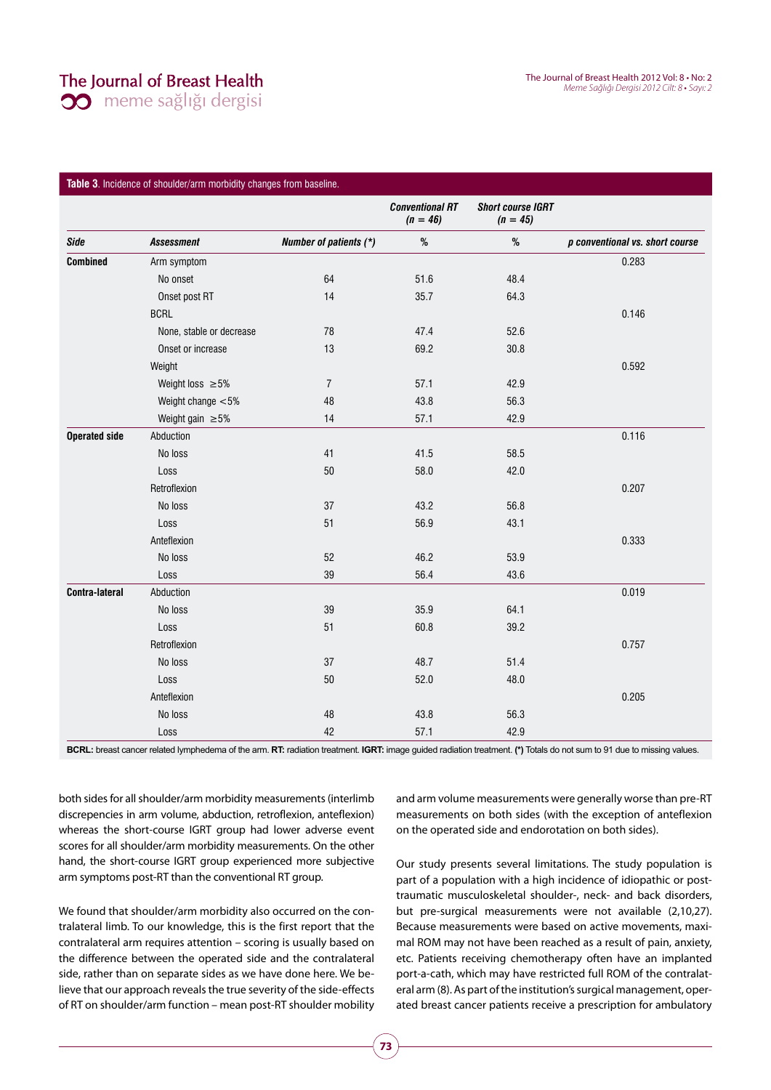The Journal of Breast Health 2012 Vol: 8 • No: 2 Meme Sağlığı Dergisi 2012 Cilt: 8 • Sayı: 2

|                       |                          |                        | <b>Conventional RT</b><br>$(n = 46)$ | <b>Short course IGRT</b><br>$(n = 45)$ |                                 |
|-----------------------|--------------------------|------------------------|--------------------------------------|----------------------------------------|---------------------------------|
| Side                  | <b>Assessment</b>        | Number of patients (*) | %                                    | %                                      | p conventional vs. short course |
| Combined              | Arm symptom              |                        |                                      |                                        | 0.283                           |
|                       | No onset                 | 64                     | 51.6                                 | 48.4                                   |                                 |
|                       | Onset post RT            | 14                     | 35.7                                 | 64.3                                   |                                 |
|                       | <b>BCRL</b>              |                        |                                      |                                        | 0.146                           |
|                       | None, stable or decrease | 78                     | 47.4                                 | 52.6                                   |                                 |
|                       | Onset or increase        | 13                     | 69.2                                 | 30.8                                   |                                 |
|                       | Weight                   |                        |                                      |                                        | 0.592                           |
|                       | Weight loss $\geq 5\%$   | $\overline{7}$         | 57.1                                 | 42.9                                   |                                 |
|                       | Weight change $< 5\%$    | 48                     | 43.8                                 | 56.3                                   |                                 |
|                       | Weight gain $\geq 5\%$   | 14                     | 57.1                                 | 42.9                                   |                                 |
| <b>Operated side</b>  | Abduction                |                        |                                      |                                        | 0.116                           |
|                       | No loss                  | 41                     | 41.5                                 | 58.5                                   |                                 |
|                       | Loss                     | 50                     | 58.0                                 | 42.0                                   |                                 |
|                       | Retroflexion             |                        |                                      |                                        | 0.207                           |
|                       | No loss                  | 37                     | 43.2                                 | 56.8                                   |                                 |
|                       | Loss                     | 51                     | 56.9                                 | 43.1                                   |                                 |
|                       | Anteflexion              |                        |                                      |                                        | 0.333                           |
|                       | No loss                  | 52                     | 46.2                                 | 53.9                                   |                                 |
|                       | Loss                     | 39                     | 56.4                                 | 43.6                                   |                                 |
| <b>Contra-lateral</b> | Abduction                |                        |                                      |                                        | 0.019                           |
|                       | No loss                  | 39                     | 35.9                                 | 64.1                                   |                                 |
|                       | Loss                     | 51                     | 60.8                                 | 39.2                                   |                                 |
|                       | Retroflexion             |                        |                                      |                                        | 0.757                           |
|                       | No loss                  | 37                     | 48.7                                 | 51.4                                   |                                 |
|                       |                          |                        |                                      |                                        |                                 |

### **Table 3**. Incidence of shoulder/arm morbidity changes from baseline.

**BCRL:** breast cancer related lymphedema of the arm. **RT:** radiation treatment. **IGRT:** image guided radiation treatment. **(\*)** Totals do not sum to 91 due to missing values.

 ${\sf Loss}$  50 52.0 48.0  ${\sf 48.0}$ Anteflexion 0.205 No loss  $48$   $43.8$   $56.3$  ${\sf Loss}$   ${\sf 42}$   ${\sf 57.1}$   ${\sf 42.9}$ 

both sides for all shoulder/arm morbidity measurements (interlimb discrepencies in arm volume, abduction, retroflexion, anteflexion) whereas the short-course IGRT group had lower adverse event scores for all shoulder/arm morbidity measurements. On the other hand, the short-course IGRT group experienced more subjective arm symptoms post-RT than the conventional RT group.

We found that shoulder/arm morbidity also occurred on the contralateral limb. To our knowledge, this is the first report that the contralateral arm requires attention – scoring is usually based on the difference between the operated side and the contralateral side, rather than on separate sides as we have done here. We believe that our approach reveals the true severity of the side-effects of RT on shoulder/arm function – mean post-RT shoulder mobility and arm volume measurements were generally worse than pre-RT measurements on both sides (with the exception of anteflexion on the operated side and endorotation on both sides).

Our study presents several limitations. The study population is part of a population with a high incidence of idiopathic or posttraumatic musculoskeletal shoulder-, neck- and back disorders, but pre-surgical measurements were not available (2,10,27). Because measurements were based on active movements, maximal ROM may not have been reached as a result of pain, anxiety, etc. Patients receiving chemotherapy often have an implanted port-a-cath, which may have restricted full ROM of the contralateral arm (8). As part of the institution's surgical management, operated breast cancer patients receive a prescription for ambulatory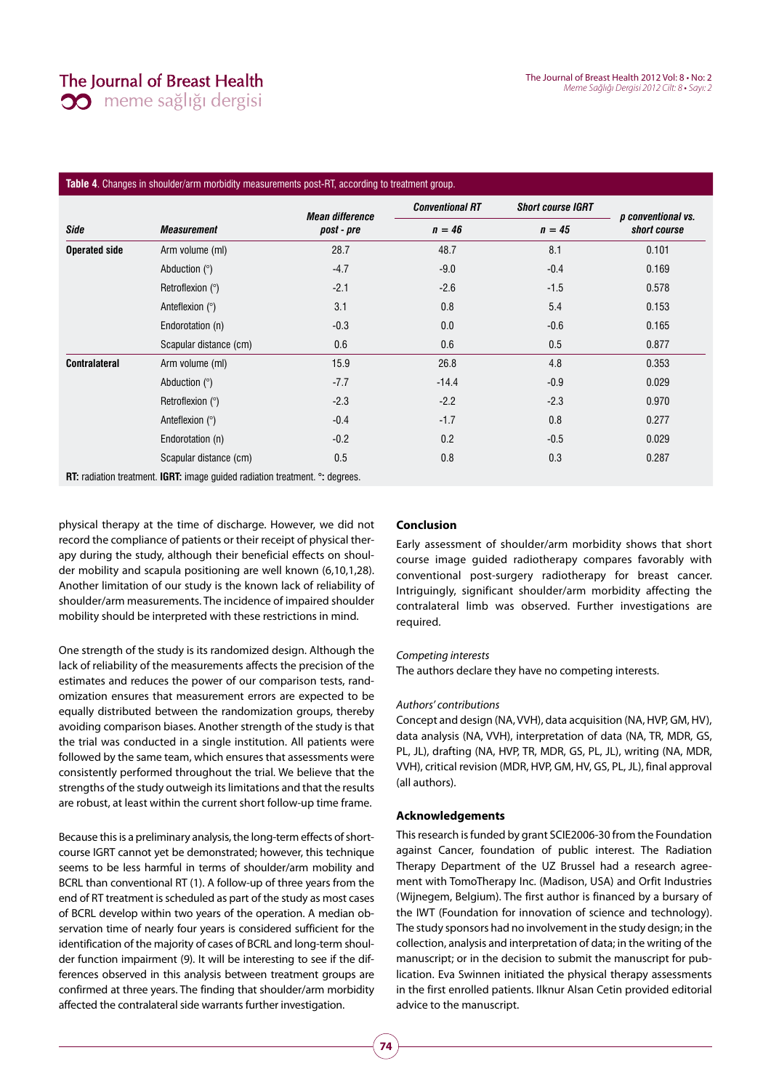# The Journal of Breast Health **00** meme sağlığı dergisi

The Journal of Breast Health 2012 Vol: 8 • No: 2 Meme Sağlığı Dergisi 2012 Cilt: 8 • Sayı: 2

## **Table 4**. Changes in shoulder/arm morbidity measurements post-RT, according to treatment group.

|                      |                                                                                            | <b>Mean difference</b> | <b>Conventional RT</b> | <b>Short course IGRT</b> |                                    |  |
|----------------------|--------------------------------------------------------------------------------------------|------------------------|------------------------|--------------------------|------------------------------------|--|
| Side                 | <b>Measurement</b>                                                                         | post - pre             | $n = 46$               | $n = 45$                 | p conventional vs.<br>short course |  |
| <b>Operated side</b> | Arm volume (ml)                                                                            | 28.7                   | 48.7                   | 8.1                      | 0.101                              |  |
|                      | Abduction $(°)$                                                                            | $-4.7$                 | $-9.0$                 | $-0.4$                   | 0.169                              |  |
|                      | Retroflexion $(°)$                                                                         | $-2.1$                 | $-2.6$                 | $-1.5$                   | 0.578                              |  |
|                      | Anteflexion (°)                                                                            | 3.1                    | 0.8                    | 5.4                      | 0.153                              |  |
|                      | Endorotation (n)                                                                           | $-0.3$                 | 0.0                    | $-0.6$                   | 0.165                              |  |
|                      | Scapular distance (cm)                                                                     | 0.6                    | 0.6                    | 0.5                      | 0.877                              |  |
| <b>Contralateral</b> | Arm volume (ml)                                                                            | 15.9                   | 26.8                   | 4.8                      | 0.353                              |  |
|                      | Abduction $(°)$                                                                            | $-7.7$                 | $-14.4$                | $-0.9$                   | 0.029                              |  |
|                      | Retroflexion $(°)$                                                                         | $-2.3$                 | $-2.2$                 | $-2.3$                   | 0.970                              |  |
|                      | Anteflexion $(°)$                                                                          | $-0.4$                 | $-1.7$                 | 0.8                      | 0.277                              |  |
|                      | Endorotation (n)                                                                           | $-0.2$                 | 0.2                    | $-0.5$                   | 0.029                              |  |
|                      | Scapular distance (cm)                                                                     | 0.5                    | 0.8                    | 0.3                      | 0.287                              |  |
|                      | <b>RT:</b> radiation treatment. <b>IGRT:</b> image guided radiation treatment. °: degrees. |                        |                        |                          |                                    |  |

physical therapy at the time of discharge. However, we did not record the compliance of patients or their receipt of physical therapy during the study, although their beneficial effects on shoulder mobility and scapula positioning are well known (6,10,1,28). Another limitation of our study is the known lack of reliability of shoulder/arm measurements. The incidence of impaired shoulder mobility should be interpreted with these restrictions in mind.

One strength of the study is its randomized design. Although the lack of reliability of the measurements affects the precision of the estimates and reduces the power of our comparison tests, randomization ensures that measurement errors are expected to be equally distributed between the randomization groups, thereby avoiding comparison biases. Another strength of the study is that the trial was conducted in a single institution. All patients were followed by the same team, which ensures that assessments were consistently performed throughout the trial. We believe that the strengths of the study outweigh its limitations and that the results are robust, at least within the current short follow-up time frame.

Because this is a preliminary analysis, the long-term effects of shortcourse IGRT cannot yet be demonstrated; however, this technique seems to be less harmful in terms of shoulder/arm mobility and BCRL than conventional RT (1). A follow-up of three years from the end of RT treatment is scheduled as part of the study as most cases of BCRL develop within two years of the operation. A median observation time of nearly four years is considered sufficient for the identification of the majority of cases of BCRL and long-term shoulder function impairment (9). It will be interesting to see if the differences observed in this analysis between treatment groups are confirmed at three years. The finding that shoulder/arm morbidity affected the contralateral side warrants further investigation.

#### **Conclusion**

Early assessment of shoulder/arm morbidity shows that short course image guided radiotherapy compares favorably with conventional post-surgery radiotherapy for breast cancer. Intriguingly, significant shoulder/arm morbidity affecting the contralateral limb was observed. Further investigations are required.

#### Competing interests

The authors declare they have no competing interests.

#### Authors' contributions

Concept and design (NA, VVH), data acquisition (NA, HVP, GM, HV), data analysis (NA, VVH), interpretation of data (NA, TR, MDR, GS, PL, JL), drafting (NA, HVP, TR, MDR, GS, PL, JL), writing (NA, MDR, VVH), critical revision (MDR, HVP, GM, HV, GS, PL, JL), final approval (all authors).

### **Acknowledgements**

This research is funded by grant SCIE2006-30 from the Foundation against Cancer, foundation of public interest. The Radiation Therapy Department of the UZ Brussel had a research agreement with TomoTherapy Inc. (Madison, USA) and Orfit Industries (Wijnegem, Belgium). The first author is financed by a bursary of the IWT (Foundation for innovation of science and technology). The study sponsors had no involvement in the study design; in the collection, analysis and interpretation of data; in the writing of the manuscript; or in the decision to submit the manuscript for publication. Eva Swinnen initiated the physical therapy assessments in the first enrolled patients. Ilknur Alsan Cetin provided editorial advice to the manuscript.